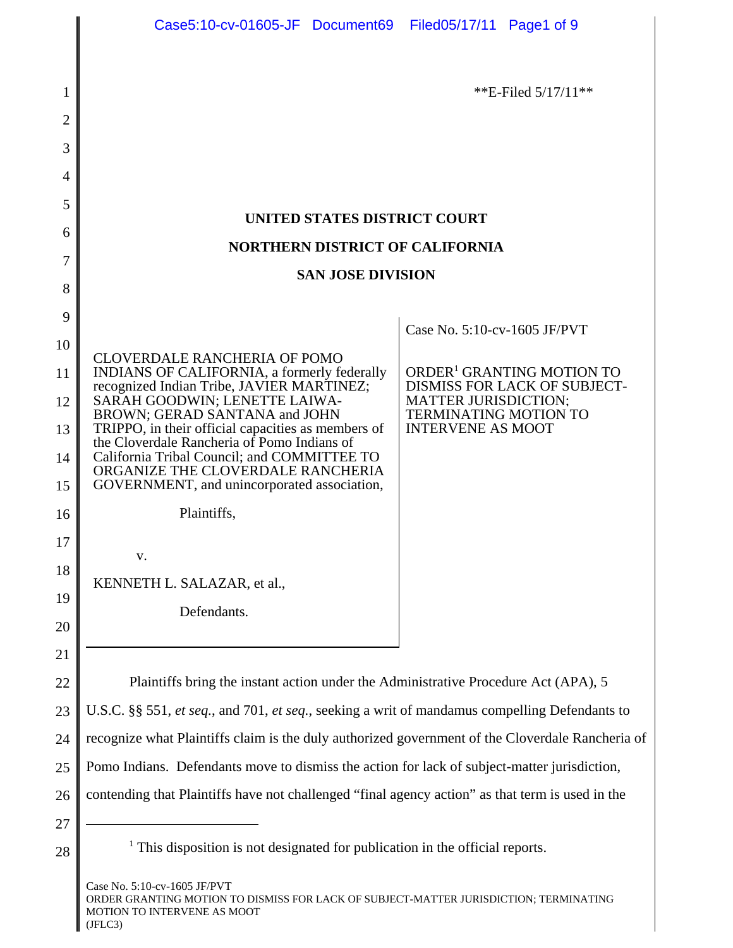|    |                                                                                                  | **E-Filed $5/17/11$ **                                             |
|----|--------------------------------------------------------------------------------------------------|--------------------------------------------------------------------|
| 2  |                                                                                                  |                                                                    |
| 3  |                                                                                                  |                                                                    |
| 4  |                                                                                                  |                                                                    |
| 5  |                                                                                                  |                                                                    |
| 6  | UNITED STATES DISTRICT COURT                                                                     |                                                                    |
| 7  | <b>NORTHERN DISTRICT OF CALIFORNIA</b><br><b>SAN JOSE DIVISION</b>                               |                                                                    |
| 8  |                                                                                                  |                                                                    |
| 9  |                                                                                                  |                                                                    |
| 10 |                                                                                                  | Case No. 5:10-cv-1605 JF/PVT                                       |
| 11 | CLOVERDALE RANCHERIA OF POMO<br>INDIANS OF CALIFORNIA, a formerly federally                      | ORDER <sup>1</sup> GRANTING MOTION TO                              |
| 12 | recognized Indian Tribe, JAVIER MARTINEZ;<br>SARAH GOODWIN; LENETTE LAIWA-                       | <b>DISMISS FOR LACK OF SUBJECT-</b><br><b>MATTER JURISDICTION;</b> |
| 13 | BROWN; GERAD SANTANA and JOHN<br>TRIPPO, in their official capacities as members of              | <b>TERMINATING MOTION TO</b><br><b>INTERVENE AS MOOT</b>           |
| 14 | the Cloverdale Rancheria of Pomo Indians of<br>California Tribal Council; and COMMITTEE TO       |                                                                    |
| 15 | ORGANIZE THE CLOVERDALE RANCHERIA<br>GOVERNMENT, and unincorporated association,                 |                                                                    |
| 16 | Plaintiffs,                                                                                      |                                                                    |
| 17 |                                                                                                  |                                                                    |
| 18 | V.                                                                                               |                                                                    |
| 19 | KENNETH L. SALAZAR, et al.,                                                                      |                                                                    |
| 20 | Defendants.                                                                                      |                                                                    |
| 21 |                                                                                                  |                                                                    |
| 22 |                                                                                                  |                                                                    |
| 23 | Plaintiffs bring the instant action under the Administrative Procedure Act (APA), 5              |                                                                    |
|    | U.S.C. §§ 551, et seq., and 701, et seq., seeking a writ of mandamus compelling Defendants to    |                                                                    |
| 24 | recognize what Plaintiffs claim is the duly authorized government of the Cloverdale Rancheria of |                                                                    |
| 25 | Pomo Indians. Defendants move to dismiss the action for lack of subject-matter jurisdiction,     |                                                                    |
| 26 | contending that Plaintiffs have not challenged "final agency action" as that term is used in the |                                                                    |
| 27 |                                                                                                  |                                                                    |

28

 $<sup>1</sup>$  This disposition is not designated for publication in the official reports.</sup>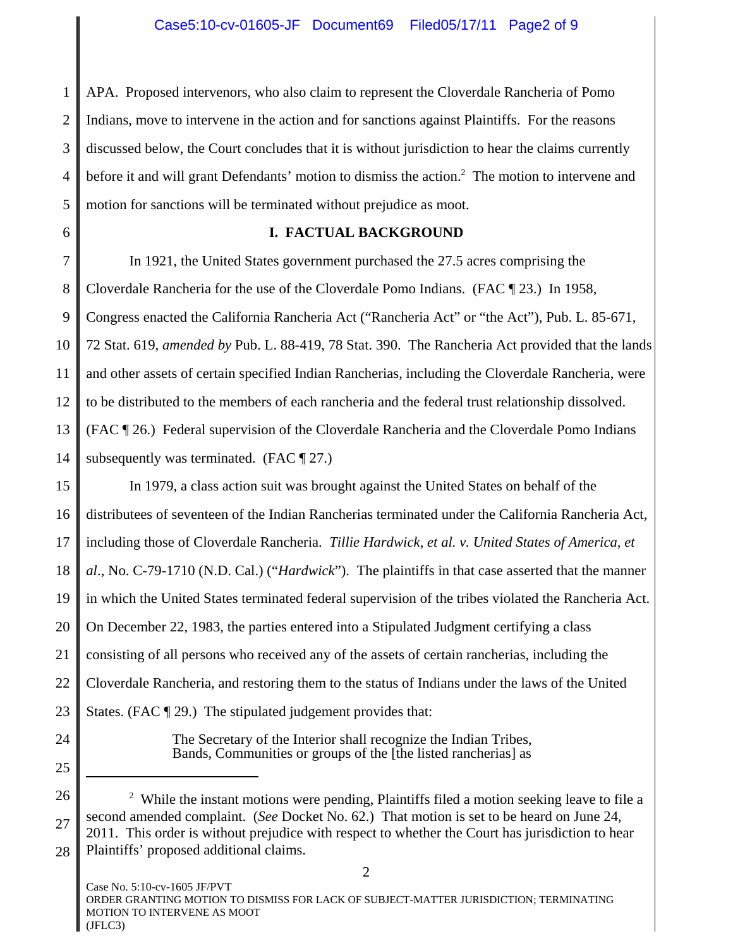1 2 3 4 5 APA. Proposed intervenors, who also claim to represent the Cloverdale Rancheria of Pomo Indians, move to intervene in the action and for sanctions against Plaintiffs. For the reasons discussed below, the Court concludes that it is without jurisdiction to hear the claims currently before it and will grant Defendants' motion to dismiss the action.<sup>2</sup> The motion to intervene and motion for sanctions will be terminated without prejudice as moot.

6

# **I. FACTUAL BACKGROUND**

7 8 9 10 11 12 13 14 In 1921, the United States government purchased the 27.5 acres comprising the Cloverdale Rancheria for the use of the Cloverdale Pomo Indians. (FAC ¶ 23.) In 1958, Congress enacted the California Rancheria Act ("Rancheria Act" or "the Act"), Pub. L. 85-671, 72 Stat. 619, *amended by* Pub. L. 88-419, 78 Stat. 390. The Rancheria Act provided that the lands and other assets of certain specified Indian Rancherias, including the Cloverdale Rancheria, were to be distributed to the members of each rancheria and the federal trust relationship dissolved. (FAC ¶ 26.) Federal supervision of the Cloverdale Rancheria and the Cloverdale Pomo Indians subsequently was terminated. (FAC ¶ 27.)

15 16 17 18 19 20 21 22 23 In 1979, a class action suit was brought against the United States on behalf of the distributees of seventeen of the Indian Rancherias terminated under the California Rancheria Act, including those of Cloverdale Rancheria. *Tillie Hardwick, et al. v. United States of America, et al*., No. C-79-1710 (N.D. Cal.) ("*Hardwick*"). The plaintiffs in that case asserted that the manner in which the United States terminated federal supervision of the tribes violated the Rancheria Act. On December 22, 1983, the parties entered into a Stipulated Judgment certifying a class consisting of all persons who received any of the assets of certain rancherias, including the Cloverdale Rancheria, and restoring them to the status of Indians under the laws of the United States. (FAC ¶ 29.) The stipulated judgement provides that:

24

25

The Secretary of the Interior shall recognize the Indian Tribes, Bands, Communities or groups of the [the listed rancherias] as

<sup>26</sup> 27 28  $2$  While the instant motions were pending, Plaintiffs filed a motion seeking leave to file a second amended complaint. (*See* Docket No. 62.) That motion is set to be heard on June 24, 2011. This order is without prejudice with respect to whether the Court has jurisdiction to hear Plaintiffs' proposed additional claims.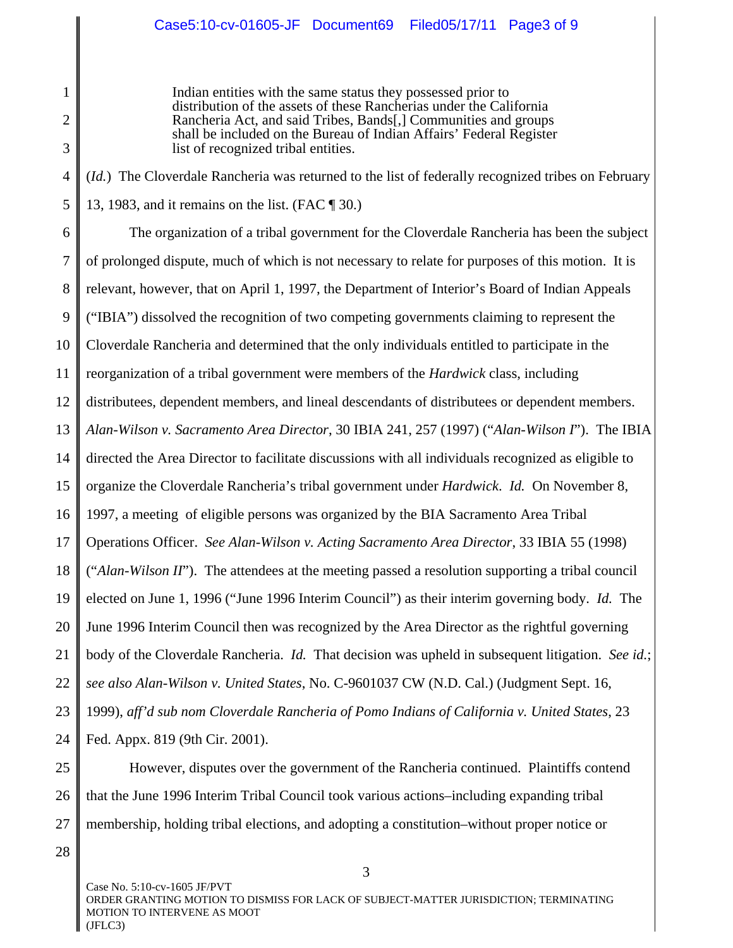Indian entities with the same status they possessed prior to distribution of the assets of these Rancherias under the California Rancheria Act, and said Tribes, Bands[,] Communities and groups shall be included on the Bureau of Indian Affairs' Federal Register list of recognized tribal entities.

4 5 (*Id.*) The Cloverdale Rancheria was returned to the list of federally recognized tribes on February 13, 1983, and it remains on the list. (FAC ¶ 30.)

6 7 8 9 10 11 12 13 14 15 16 17 18 19 20 21 22 23 24 The organization of a tribal government for the Cloverdale Rancheria has been the subject of prolonged dispute, much of which is not necessary to relate for purposes of this motion. It is relevant, however, that on April 1, 1997, the Department of Interior's Board of Indian Appeals ("IBIA") dissolved the recognition of two competing governments claiming to represent the Cloverdale Rancheria and determined that the only individuals entitled to participate in the reorganization of a tribal government were members of the *Hardwick* class, including distributees, dependent members, and lineal descendants of distributees or dependent members. *Alan-Wilson v. Sacramento Area Director*, 30 IBIA 241, 257 (1997) ("*Alan-Wilson I*"). The IBIA directed the Area Director to facilitate discussions with all individuals recognized as eligible to organize the Cloverdale Rancheria's tribal government under *Hardwick*. *Id.* On November 8, 1997, a meeting of eligible persons was organized by the BIA Sacramento Area Tribal Operations Officer. *See Alan-Wilson v. Acting Sacramento Area Director*, 33 IBIA 55 (1998) ("*Alan-Wilson II*"). The attendees at the meeting passed a resolution supporting a tribal council elected on June 1, 1996 ("June 1996 Interim Council") as their interim governing body. *Id.* The June 1996 Interim Council then was recognized by the Area Director as the rightful governing body of the Cloverdale Rancheria. *Id.* That decision was upheld in subsequent litigation. *See id.*; *see also Alan-Wilson v. United States*, No. C-9601037 CW (N.D. Cal.) (Judgment Sept. 16, 1999), *aff'd sub nom Cloverdale Rancheria of Pomo Indians of California v. United States*, 23 Fed. Appx. 819 (9th Cir. 2001).

25 26 27 However, disputes over the government of the Rancheria continued. Plaintiffs contend that the June 1996 Interim Tribal Council took various actions–including expanding tribal membership, holding tribal elections, and adopting a constitution–without proper notice or

28

1

2

3

Case No. 5:10-cv-1605 JF/PVT ORDER GRANTING MOTION TO DISMISS FOR LACK OF SUBJECT-MATTER JURISDICTION; TERMINATING MOTION TO INTERVENE AS MOOT (JFLC3)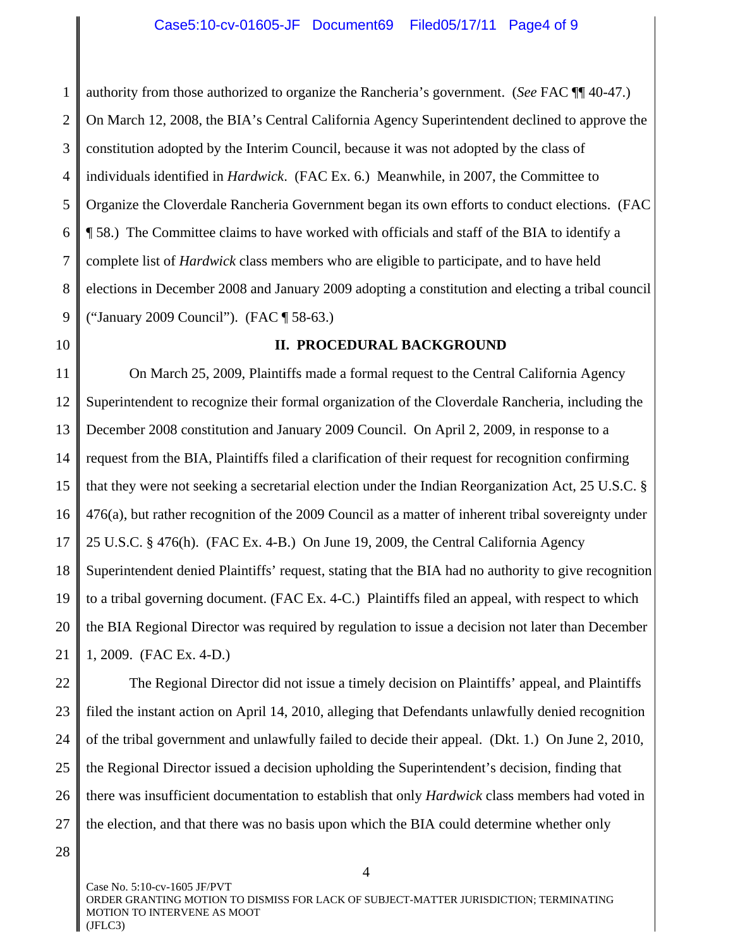1 2 3 4 5 6 7 8 9 authority from those authorized to organize the Rancheria's government. (*See* FAC ¶¶ 40-47.) On March 12, 2008, the BIA's Central California Agency Superintendent declined to approve the constitution adopted by the Interim Council, because it was not adopted by the class of individuals identified in *Hardwick*. (FAC Ex. 6.) Meanwhile, in 2007, the Committee to Organize the Cloverdale Rancheria Government began its own efforts to conduct elections. (FAC ¶ 58.) The Committee claims to have worked with officials and staff of the BIA to identify a complete list of *Hardwick* class members who are eligible to participate, and to have held elections in December 2008 and January 2009 adopting a constitution and electing a tribal council ("January 2009 Council"). (FAC ¶ 58-63.)

10

#### **II. PROCEDURAL BACKGROUND**

11 12 13 14 15 16 17 18 19 20 21 On March 25, 2009, Plaintiffs made a formal request to the Central California Agency Superintendent to recognize their formal organization of the Cloverdale Rancheria, including the December 2008 constitution and January 2009 Council. On April 2, 2009, in response to a request from the BIA, Plaintiffs filed a clarification of their request for recognition confirming that they were not seeking a secretarial election under the Indian Reorganization Act, 25 U.S.C. § 476(a), but rather recognition of the 2009 Council as a matter of inherent tribal sovereignty under 25 U.S.C. § 476(h). (FAC Ex. 4-B.) On June 19, 2009, the Central California Agency Superintendent denied Plaintiffs' request, stating that the BIA had no authority to give recognition to a tribal governing document. (FAC Ex. 4-C.) Plaintiffs filed an appeal, with respect to which the BIA Regional Director was required by regulation to issue a decision not later than December 1, 2009. (FAC Ex. 4-D.)

22 23 24 25 26 27 The Regional Director did not issue a timely decision on Plaintiffs' appeal, and Plaintiffs filed the instant action on April 14, 2010, alleging that Defendants unlawfully denied recognition of the tribal government and unlawfully failed to decide their appeal. (Dkt. 1.) On June 2, 2010, the Regional Director issued a decision upholding the Superintendent's decision, finding that there was insufficient documentation to establish that only *Hardwick* class members had voted in the election, and that there was no basis upon which the BIA could determine whether only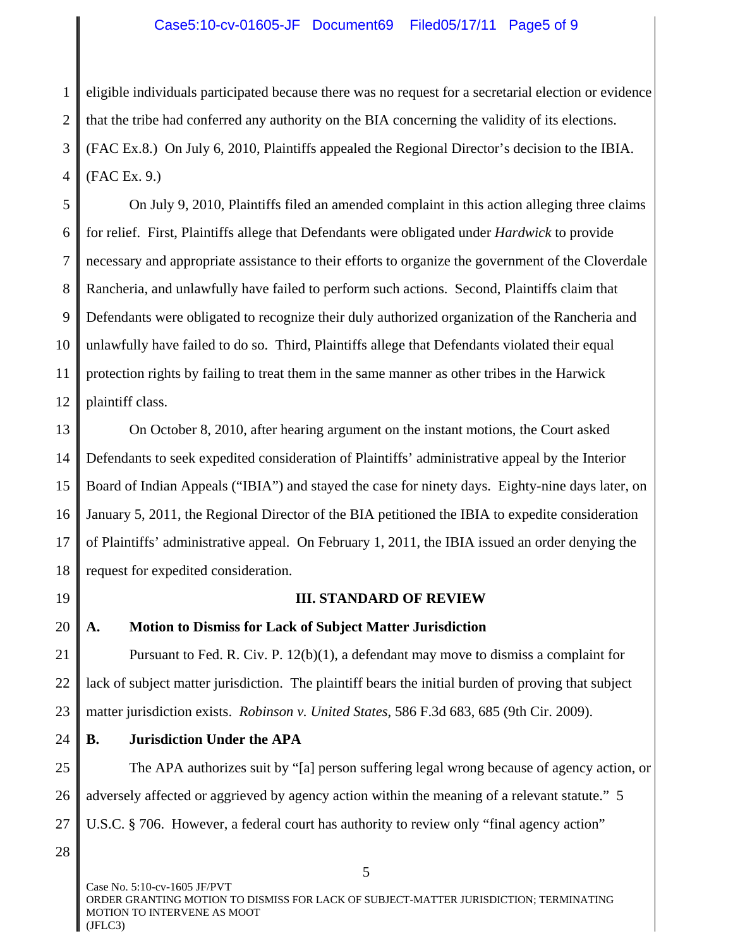# Case5:10-cv-01605-JF Document69 Filed05/17/11 Page5 of 9

1 2 3 4 eligible individuals participated because there was no request for a secretarial election or evidence that the tribe had conferred any authority on the BIA concerning the validity of its elections. (FAC Ex.8.) On July 6, 2010, Plaintiffs appealed the Regional Director's decision to the IBIA. (FAC Ex. 9.)

5 6 7 8 9 10 11 12 On July 9, 2010, Plaintiffs filed an amended complaint in this action alleging three claims for relief. First, Plaintiffs allege that Defendants were obligated under *Hardwick* to provide necessary and appropriate assistance to their efforts to organize the government of the Cloverdale Rancheria, and unlawfully have failed to perform such actions. Second, Plaintiffs claim that Defendants were obligated to recognize their duly authorized organization of the Rancheria and unlawfully have failed to do so. Third, Plaintiffs allege that Defendants violated their equal protection rights by failing to treat them in the same manner as other tribes in the Harwick plaintiff class.

13 14 15 16 17 18 On October 8, 2010, after hearing argument on the instant motions, the Court asked Defendants to seek expedited consideration of Plaintiffs' administrative appeal by the Interior Board of Indian Appeals ("IBIA") and stayed the case for ninety days. Eighty-nine days later, on January 5, 2011, the Regional Director of the BIA petitioned the IBIA to expedite consideration of Plaintiffs' administrative appeal. On February 1, 2011, the IBIA issued an order denying the request for expedited consideration.

19

#### **III. STANDARD OF REVIEW**

20

# **A. Motion to Dismiss for Lack of Subject Matter Jurisdiction**

21 22 23 Pursuant to Fed. R. Civ. P. 12(b)(1), a defendant may move to dismiss a complaint for lack of subject matter jurisdiction. The plaintiff bears the initial burden of proving that subject matter jurisdiction exists. *Robinson v. United States*, 586 F.3d 683, 685 (9th Cir. 2009).

24 **B. Jurisdiction Under the APA**

25 26 27 The APA authorizes suit by "[a] person suffering legal wrong because of agency action, or adversely affected or aggrieved by agency action within the meaning of a relevant statute." 5 U.S.C. § 706. However, a federal court has authority to review only "final agency action"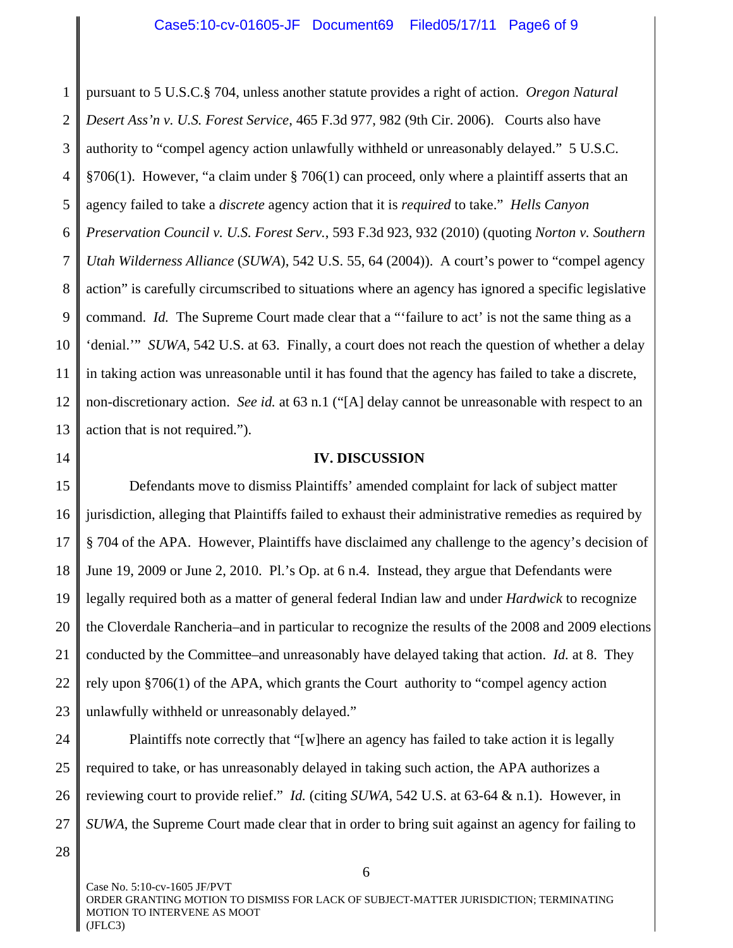1 2 3 4 5 6 7 8 9 10 11 12 13 pursuant to 5 U.S.C.§ 704, unless another statute provides a right of action. *Oregon Natural Desert Ass'n v. U.S. Forest Service*, 465 F.3d 977, 982 (9th Cir. 2006). Courts also have authority to "compel agency action unlawfully withheld or unreasonably delayed." 5 U.S.C. §706(1). However, "a claim under § 706(1) can proceed, only where a plaintiff asserts that an agency failed to take a *discrete* agency action that it is *required* to take." *Hells Canyon Preservation Council v. U.S. Forest Serv.*, 593 F.3d 923, 932 (2010) (quoting *Norton v. Southern Utah Wilderness Alliance* (*SUWA*), 542 U.S. 55, 64 (2004)). A court's power to "compel agency action" is carefully circumscribed to situations where an agency has ignored a specific legislative command. *Id.* The Supreme Court made clear that a "'failure to act' is not the same thing as a 'denial.'" *SUWA*, 542 U.S. at 63. Finally, a court does not reach the question of whether a delay in taking action was unreasonable until it has found that the agency has failed to take a discrete, non-discretionary action. *See id.* at 63 n.1 ("[A] delay cannot be unreasonable with respect to an action that is not required.").

14

#### **IV. DISCUSSION**

15 16 17 18 19 20 21 22 23 Defendants move to dismiss Plaintiffs' amended complaint for lack of subject matter jurisdiction, alleging that Plaintiffs failed to exhaust their administrative remedies as required by § 704 of the APA. However, Plaintiffs have disclaimed any challenge to the agency's decision of June 19, 2009 or June 2, 2010. Pl.'s Op. at 6 n.4. Instead, they argue that Defendants were legally required both as a matter of general federal Indian law and under *Hardwick* to recognize the Cloverdale Rancheria–and in particular to recognize the results of the 2008 and 2009 elections conducted by the Committee–and unreasonably have delayed taking that action. *Id.* at 8. They rely upon §706(1) of the APA, which grants the Court authority to "compel agency action unlawfully withheld or unreasonably delayed."

24 25 26 27 Plaintiffs note correctly that "[w]here an agency has failed to take action it is legally required to take, or has unreasonably delayed in taking such action, the APA authorizes a reviewing court to provide relief." *Id.* (citing *SUWA*, 542 U.S. at 63-64 & n.1). However, in *SUWA*, the Supreme Court made clear that in order to bring suit against an agency for failing to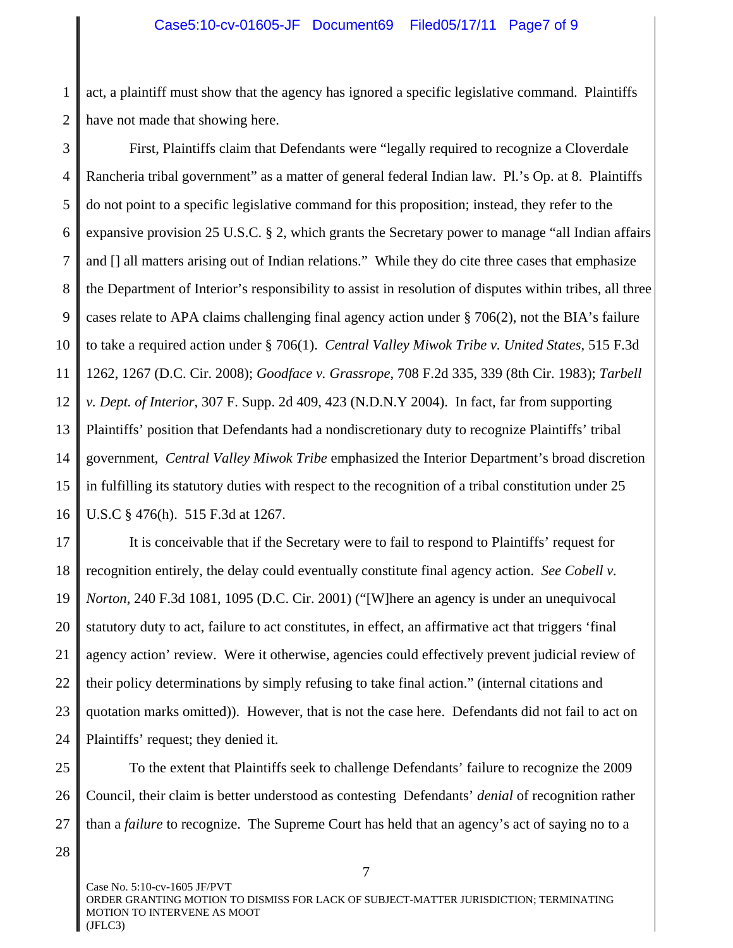#### Case5:10-cv-01605-JF Document69 Filed05/17/11 Page7 of 9

1 2 act, a plaintiff must show that the agency has ignored a specific legislative command. Plaintiffs have not made that showing here.

3 4 5 6 7 8 9 10 11 12 13 14 15 16 First, Plaintiffs claim that Defendants were "legally required to recognize a Cloverdale Rancheria tribal government" as a matter of general federal Indian law. Pl.'s Op. at 8. Plaintiffs do not point to a specific legislative command for this proposition; instead, they refer to the expansive provision 25 U.S.C. § 2, which grants the Secretary power to manage "all Indian affairs and [] all matters arising out of Indian relations." While they do cite three cases that emphasize the Department of Interior's responsibility to assist in resolution of disputes within tribes, all three cases relate to APA claims challenging final agency action under  $\S 706(2)$ , not the BIA's failure to take a required action under § 706(1). *Central Valley Miwok Tribe v. United States*, 515 F.3d 1262, 1267 (D.C. Cir. 2008); *Goodface v. Grassrope*, 708 F.2d 335, 339 (8th Cir. 1983); *Tarbell v. Dept. of Interior*, 307 F. Supp. 2d 409, 423 (N.D.N.Y 2004). In fact, far from supporting Plaintiffs' position that Defendants had a nondiscretionary duty to recognize Plaintiffs' tribal government, *Central Valley Miwok Tribe* emphasized the Interior Department's broad discretion in fulfilling its statutory duties with respect to the recognition of a tribal constitution under 25 U.S.C § 476(h). 515 F.3d at 1267.

17 18 19 20 21 22 23 24 It is conceivable that if the Secretary were to fail to respond to Plaintiffs' request for recognition entirely, the delay could eventually constitute final agency action. *See Cobell v. Norton*, 240 F.3d 1081, 1095 (D.C. Cir. 2001) ("[W]here an agency is under an unequivocal statutory duty to act, failure to act constitutes, in effect, an affirmative act that triggers 'final agency action' review. Were it otherwise, agencies could effectively prevent judicial review of their policy determinations by simply refusing to take final action." (internal citations and quotation marks omitted)). However, that is not the case here. Defendants did not fail to act on Plaintiffs' request; they denied it.

25 26 27 To the extent that Plaintiffs seek to challenge Defendants' failure to recognize the 2009 Council, their claim is better understood as contesting Defendants' *denial* of recognition rather than a *failure* to recognize. The Supreme Court has held that an agency's act of saying no to a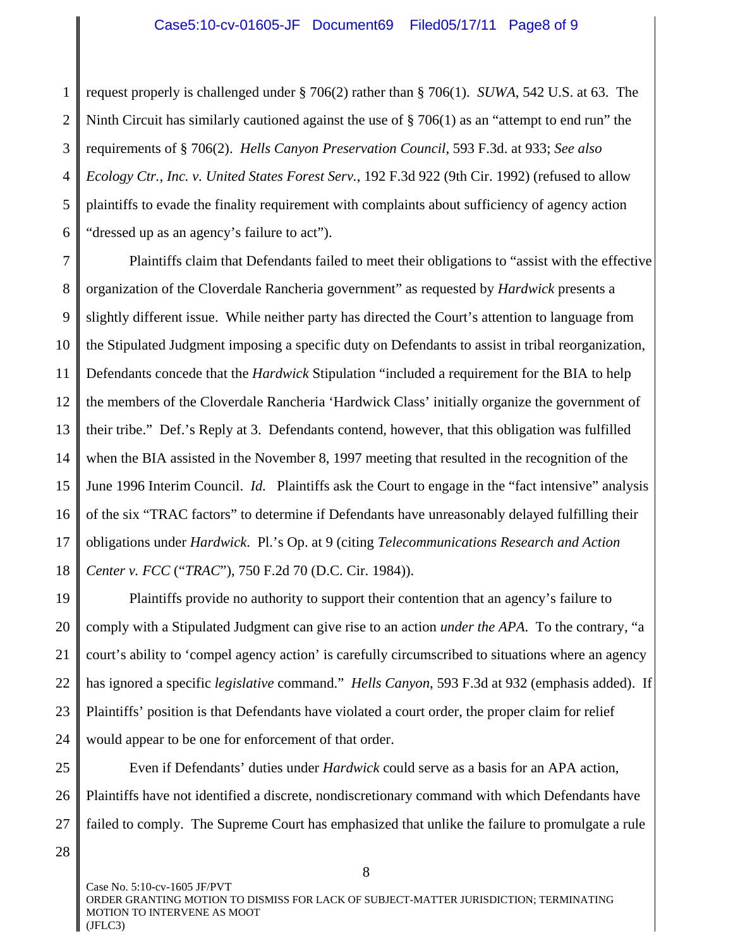#### Case5:10-cv-01605-JF Document69 Filed05/17/11 Page8 of 9

1 2 3 4 5 6 request properly is challenged under § 706(2) rather than § 706(1). *SUWA*, 542 U.S. at 63. The Ninth Circuit has similarly cautioned against the use of § 706(1) as an "attempt to end run" the requirements of § 706(2). *Hells Canyon Preservation Council*, 593 F.3d. at 933; *See also Ecology Ctr., Inc. v. United States Forest Serv.*, 192 F.3d 922 (9th Cir. 1992) (refused to allow plaintiffs to evade the finality requirement with complaints about sufficiency of agency action "dressed up as an agency's failure to act").

7 8 9 10 11 12 13 14 15 16 17 18 Plaintiffs claim that Defendants failed to meet their obligations to "assist with the effective organization of the Cloverdale Rancheria government" as requested by *Hardwick* presents a slightly different issue. While neither party has directed the Court's attention to language from the Stipulated Judgment imposing a specific duty on Defendants to assist in tribal reorganization, Defendants concede that the *Hardwick* Stipulation "included a requirement for the BIA to help the members of the Cloverdale Rancheria 'Hardwick Class' initially organize the government of their tribe." Def.'s Reply at 3. Defendants contend, however, that this obligation was fulfilled when the BIA assisted in the November 8, 1997 meeting that resulted in the recognition of the June 1996 Interim Council. *Id.* Plaintiffs ask the Court to engage in the "fact intensive" analysis of the six "TRAC factors" to determine if Defendants have unreasonably delayed fulfilling their obligations under *Hardwick*. Pl.'s Op. at 9 (citing *Telecommunications Research and Action Center v. FCC* ("*TRAC*"), 750 F.2d 70 (D.C. Cir. 1984)).

19 20 21 22 23 24 Plaintiffs provide no authority to support their contention that an agency's failure to comply with a Stipulated Judgment can give rise to an action *under the APA*. To the contrary, "a court's ability to 'compel agency action' is carefully circumscribed to situations where an agency has ignored a specific *legislative* command." *Hells Canyon*, 593 F.3d at 932 (emphasis added). If Plaintiffs' position is that Defendants have violated a court order, the proper claim for relief would appear to be one for enforcement of that order.

25 26 27 Even if Defendants' duties under *Hardwick* could serve as a basis for an APA action, Plaintiffs have not identified a discrete, nondiscretionary command with which Defendants have failed to comply. The Supreme Court has emphasized that unlike the failure to promulgate a rule